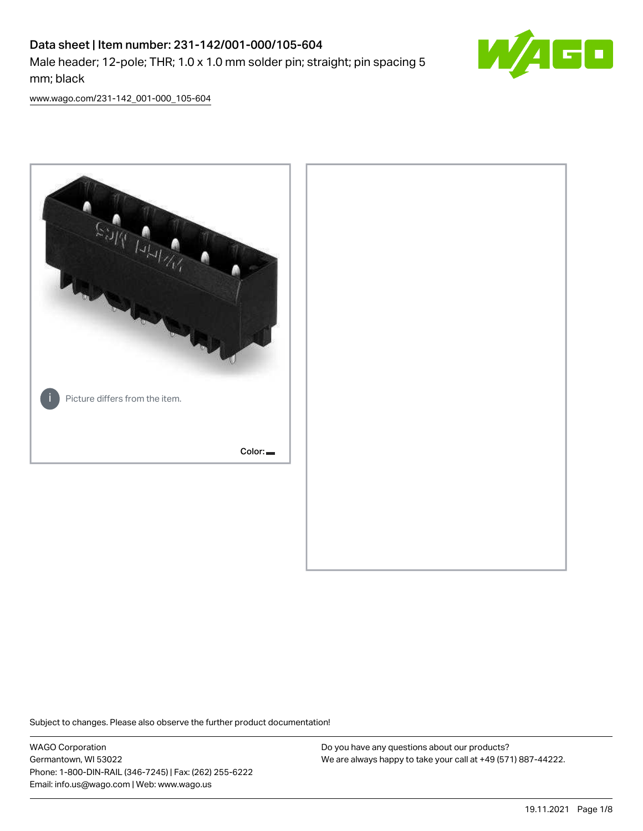# Data sheet | Item number: 231-142/001-000/105-604 Male header; 12-pole; THR; 1.0 x 1.0 mm solder pin; straight; pin spacing 5 mm; black



[www.wago.com/231-142\\_001-000\\_105-604](http://www.wago.com/231-142_001-000_105-604)



Subject to changes. Please also observe the further product documentation!

WAGO Corporation Germantown, WI 53022 Phone: 1-800-DIN-RAIL (346-7245) | Fax: (262) 255-6222 Email: info.us@wago.com | Web: www.wago.us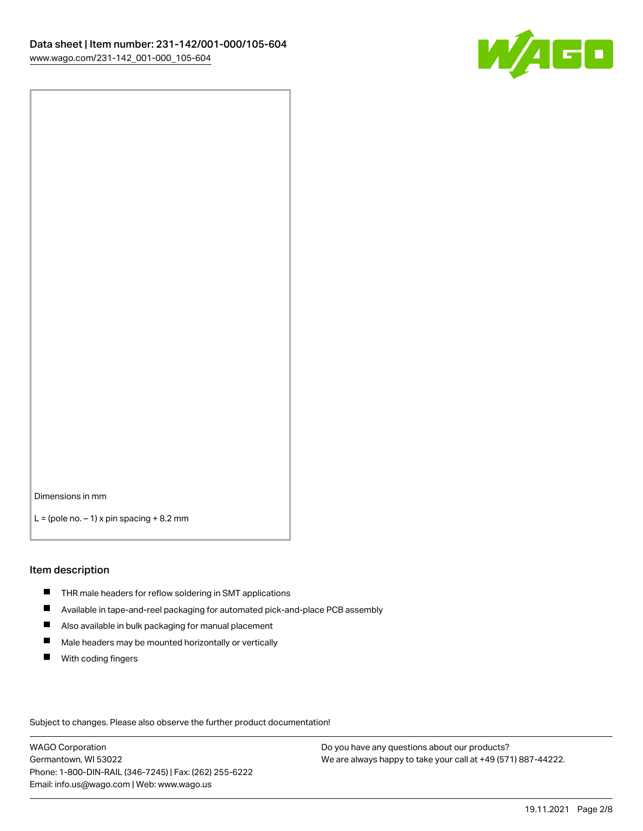

Dimensions in mm

 $L =$  (pole no.  $-1$ ) x pin spacing  $+8.2$  mm

#### Item description

- **THR** male headers for reflow soldering in SMT applications
- $\blacksquare$ Available in tape-and-reel packaging for automated pick-and-place PCB assembly
- $\blacksquare$ Also available in bulk packaging for manual placement
- $\blacksquare$ Male headers may be mounted horizontally or vertically
- **With coding fingers**

Subject to changes. Please also observe the further product documentation!

WAGO Corporation Germantown, WI 53022 Phone: 1-800-DIN-RAIL (346-7245) | Fax: (262) 255-6222 Email: info.us@wago.com | Web: www.wago.us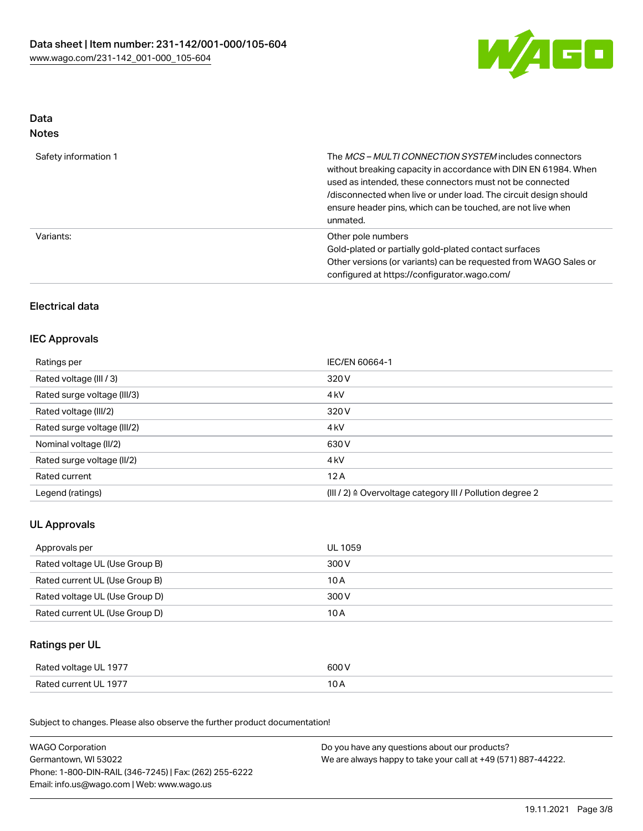

# Data Notes

| Safety information 1 | The MCS-MULTI CONNECTION SYSTEM includes connectors<br>without breaking capacity in accordance with DIN EN 61984. When<br>used as intended, these connectors must not be connected<br>/disconnected when live or under load. The circuit design should<br>ensure header pins, which can be touched, are not live when<br>unmated. |
|----------------------|-----------------------------------------------------------------------------------------------------------------------------------------------------------------------------------------------------------------------------------------------------------------------------------------------------------------------------------|
| Variants:            | Other pole numbers<br>Gold-plated or partially gold-plated contact surfaces<br>Other versions (or variants) can be requested from WAGO Sales or<br>configured at https://configurator.wago.com/                                                                                                                                   |

# Electrical data

# IEC Approvals

| Ratings per                 | IEC/EN 60664-1                                                       |
|-----------------------------|----------------------------------------------------------------------|
| Rated voltage (III / 3)     | 320 V                                                                |
| Rated surge voltage (III/3) | 4 <sub>kV</sub>                                                      |
| Rated voltage (III/2)       | 320 V                                                                |
| Rated surge voltage (III/2) | 4 <sub>kV</sub>                                                      |
| Nominal voltage (II/2)      | 630 V                                                                |
| Rated surge voltage (II/2)  | 4 <sub>kV</sub>                                                      |
| Rated current               | 12A                                                                  |
| Legend (ratings)            | (III / 2) $\triangleq$ Overvoltage category III / Pollution degree 2 |

# UL Approvals

| Approvals per                  | UL 1059 |
|--------------------------------|---------|
| Rated voltage UL (Use Group B) | 300 V   |
| Rated current UL (Use Group B) | 10 A    |
| Rated voltage UL (Use Group D) | 300 V   |
| Rated current UL (Use Group D) | 10 A    |

# Ratings per UL

| Rated voltage UL 1977 | 600 V |
|-----------------------|-------|
| Rated current UL 1977 | 10 A  |

Subject to changes. Please also observe the further product documentation!

| <b>WAGO Corporation</b>                                | Do you have any questions about our products?                 |
|--------------------------------------------------------|---------------------------------------------------------------|
| Germantown, WI 53022                                   | We are always happy to take your call at +49 (571) 887-44222. |
| Phone: 1-800-DIN-RAIL (346-7245)   Fax: (262) 255-6222 |                                                               |
| Email: info.us@wago.com   Web: www.wago.us             |                                                               |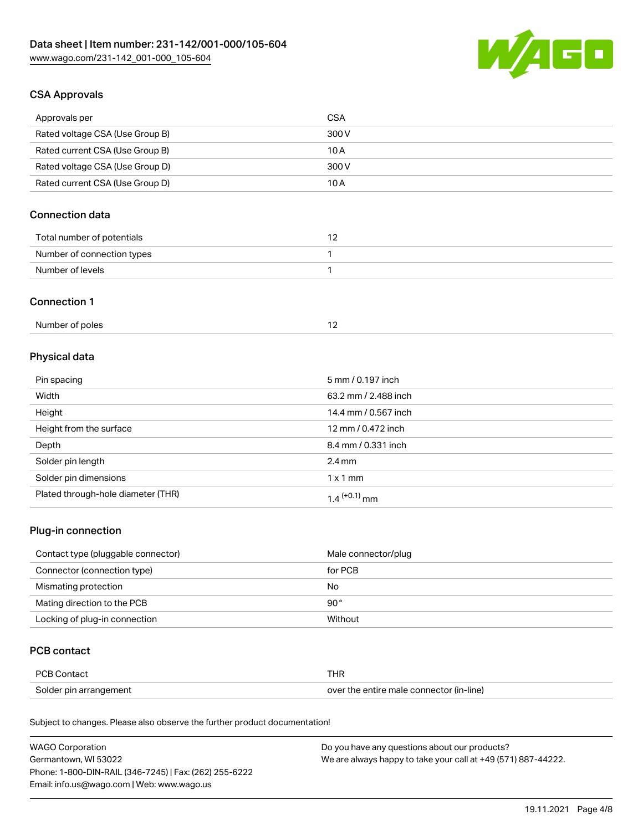

# CSA Approvals

| Approvals per                   | <b>CSA</b> |
|---------------------------------|------------|
| Rated voltage CSA (Use Group B) | 300 V      |
| Rated current CSA (Use Group B) | 10 A       |
| Rated voltage CSA (Use Group D) | 300 V      |
| Rated current CSA (Use Group D) | 10 A       |

# Connection data

| Total number of potentials |  |
|----------------------------|--|
| Number of connection types |  |
| Number of levels           |  |

#### Connection 1

| Number of poles |  |
|-----------------|--|
|                 |  |

# Physical data

| Pin spacing                        | 5 mm / 0.197 inch    |
|------------------------------------|----------------------|
| Width                              | 63.2 mm / 2.488 inch |
| Height                             | 14.4 mm / 0.567 inch |
| Height from the surface            | 12 mm / 0.472 inch   |
| Depth                              | 8.4 mm / 0.331 inch  |
| Solder pin length                  | $2.4 \text{ mm}$     |
| Solder pin dimensions              | $1 \times 1$ mm      |
| Plated through-hole diameter (THR) | $1.4$ $(+0.1)$ mm    |

### Plug-in connection

| Contact type (pluggable connector) | Male connector/plug |
|------------------------------------|---------------------|
| Connector (connection type)        | for PCB             |
| Mismating protection               | No                  |
| Mating direction to the PCB        | $90^{\circ}$        |
| Locking of plug-in connection      | Without             |

# PCB contact

| <b>PCB Contact</b>     | THR                                      |
|------------------------|------------------------------------------|
| Solder pin arrangement | over the entire male connector (in-line) |

Subject to changes. Please also observe the further product documentation!

| <b>WAGO Corporation</b>                                | Do you have any questions about our products?                 |
|--------------------------------------------------------|---------------------------------------------------------------|
| Germantown, WI 53022                                   | We are always happy to take your call at +49 (571) 887-44222. |
| Phone: 1-800-DIN-RAIL (346-7245)   Fax: (262) 255-6222 |                                                               |
| Email: info.us@wago.com   Web: www.wago.us             |                                                               |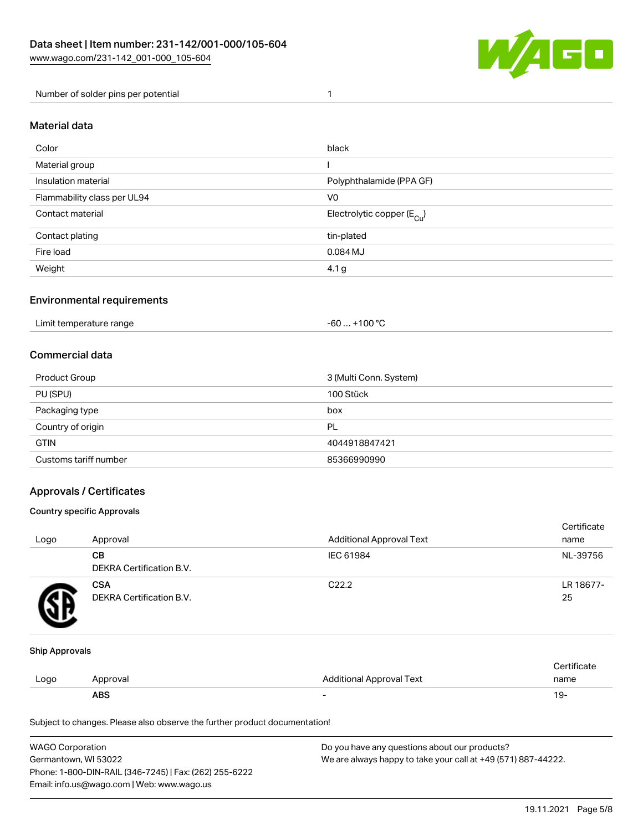

Number of solder pins per potential 1

#### Material data

| Color                       | black                                  |
|-----------------------------|----------------------------------------|
| Material group              |                                        |
| Insulation material         | Polyphthalamide (PPA GF)               |
| Flammability class per UL94 | V <sub>0</sub>                         |
| Contact material            | Electrolytic copper (E <sub>Cu</sub> ) |
| Contact plating             | tin-plated                             |
| Fire load                   | 0.084 MJ                               |
| Weight                      | 4.1 <sub>g</sub>                       |

#### Environmental requirements

Limit temperature range  $-60... +100$  °C

#### Commercial data

| Product Group         | 3 (Multi Conn. System) |
|-----------------------|------------------------|
| PU (SPU)              | 100 Stück              |
| Packaging type        | box                    |
| Country of origin     | PL                     |
| <b>GTIN</b>           | 4044918847421          |
| Customs tariff number | 85366990990            |

#### Approvals / Certificates

#### Country specific Approvals

| Logo | Approval                               | <b>Additional Approval Text</b> | Certificate<br>name |
|------|----------------------------------------|---------------------------------|---------------------|
|      | CВ<br><b>DEKRA Certification B.V.</b>  | IEC 61984                       | NL-39756            |
|      | <b>CSA</b><br>DEKRA Certification B.V. | C <sub>22.2</sub>               | LR 18677-<br>25     |

#### Ship Approvals

|      | ABS      |                                 | . Y     |
|------|----------|---------------------------------|---------|
| Logo | Approval | <b>Additional Approval Text</b> | name    |
|      |          |                                 | ficate. |

Subject to changes. Please also observe the further product documentation!

| <b>WAGO Corporation</b>                                | Do you have any questions about our products?                 |
|--------------------------------------------------------|---------------------------------------------------------------|
| Germantown, WI 53022                                   | We are always happy to take your call at +49 (571) 887-44222. |
| Phone: 1-800-DIN-RAIL (346-7245)   Fax: (262) 255-6222 |                                                               |
| Email: info.us@wago.com   Web: www.wago.us             |                                                               |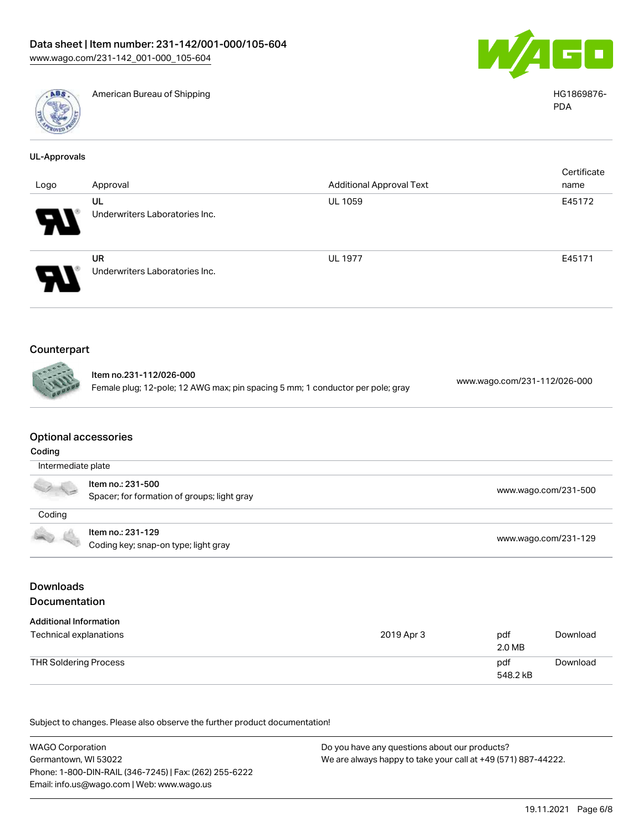

American Bureau of Shipping National American Bureau of Shipping HG1869876-



PDA

| <b>UL-Approvals</b> |                                |                                 |             |
|---------------------|--------------------------------|---------------------------------|-------------|
|                     |                                |                                 | Certificate |
| Logo                | Approval                       | <b>Additional Approval Text</b> | name        |
|                     | UL                             | <b>UL 1059</b>                  | E45172      |
| Ч                   | Underwriters Laboratories Inc. |                                 |             |
|                     | UR                             | <b>UL 1977</b>                  | E45171      |
| $\sum_{i=1}^{n}$    | Underwriters Laboratories Inc. |                                 |             |
|                     |                                |                                 |             |
| Counterpart         |                                |                                 |             |

| <b>CONNECTED</b> | ltem no.231-112/026-000                                                        | www.wago.com/231-112/026-000 |
|------------------|--------------------------------------------------------------------------------|------------------------------|
|                  | Female plug; 12-pole; 12 AWG max; pin spacing 5 mm; 1 conductor per pole; gray |                              |

# Optional accessories

| Coding             |                                                                  |                      |
|--------------------|------------------------------------------------------------------|----------------------|
| Intermediate plate |                                                                  |                      |
| V No               | Item no.: 231-500<br>Spacer; for formation of groups; light gray | www.wago.com/231-500 |
| Coding             |                                                                  |                      |
|                    | Item no.: 231-129<br>Coding key; snap-on type; light gray        | www.wago.com/231-129 |

# Downloads Documentation

| <b>Additional Information</b> |            |                 |          |
|-------------------------------|------------|-----------------|----------|
| Technical explanations        | 2019 Apr 3 | pdf<br>2.0 MB   | Download |
| <b>THR Soldering Process</b>  |            | pdf<br>548.2 kB | Download |

Subject to changes. Please also observe the further product documentation!

WAGO Corporation Germantown, WI 53022 Phone: 1-800-DIN-RAIL (346-7245) | Fax: (262) 255-6222 Email: info.us@wago.com | Web: www.wago.us Do you have any questions about our products? We are always happy to take your call at +49 (571) 887-44222.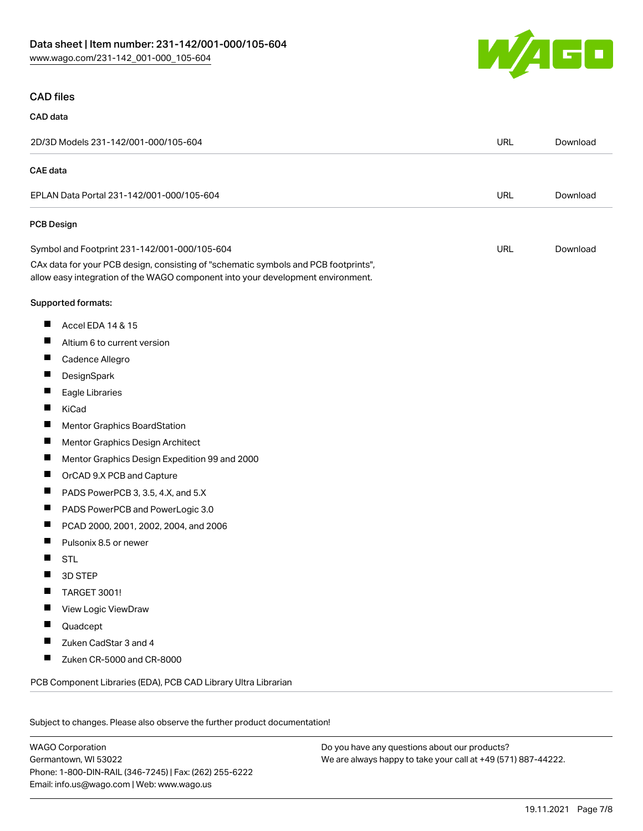

#### CAD files

# CAD data

| 2D/3D Models 231-142/001-000/105-604                                                                                                                                   | <b>URL</b> | Download |
|------------------------------------------------------------------------------------------------------------------------------------------------------------------------|------------|----------|
| CAE data                                                                                                                                                               |            |          |
| EPLAN Data Portal 231-142/001-000/105-604                                                                                                                              | <b>URL</b> | Download |
| <b>PCB Design</b>                                                                                                                                                      |            |          |
| Symbol and Footprint 231-142/001-000/105-604                                                                                                                           | <b>URL</b> | Download |
| CAx data for your PCB design, consisting of "schematic symbols and PCB footprints",<br>allow easy integration of the WAGO component into your development environment. |            |          |
| Supported formats:                                                                                                                                                     |            |          |
| ш<br>Accel EDA 14 & 15                                                                                                                                                 |            |          |
| $\overline{\phantom{a}}$<br>Altium 6 to current version                                                                                                                |            |          |
| ш<br>Cadence Allegro                                                                                                                                                   |            |          |
| ш<br>DesignSpark                                                                                                                                                       |            |          |
| Eagle Libraries                                                                                                                                                        |            |          |
| Ш<br>KiCad                                                                                                                                                             |            |          |
| ш<br><b>Mentor Graphics BoardStation</b>                                                                                                                               |            |          |
| ш<br>Mentor Graphics Design Architect                                                                                                                                  |            |          |
| ш<br>Mentor Graphics Design Expedition 99 and 2000                                                                                                                     |            |          |
| Ш<br>OrCAD 9.X PCB and Capture                                                                                                                                         |            |          |
| PADS PowerPCB 3, 3.5, 4.X, and 5.X<br>ш                                                                                                                                |            |          |
| ш<br>PADS PowerPCB and PowerLogic 3.0                                                                                                                                  |            |          |
| ш<br>PCAD 2000, 2001, 2002, 2004, and 2006                                                                                                                             |            |          |
| Pulsonix 8.5 or newer<br>ш                                                                                                                                             |            |          |
| <b>STL</b>                                                                                                                                                             |            |          |
| 3D STEP                                                                                                                                                                |            |          |
| Ш<br><b>TARGET 3001!</b>                                                                                                                                               |            |          |
| ш<br>View Logic ViewDraw                                                                                                                                               |            |          |
| Quadcept                                                                                                                                                               |            |          |
| Zuken CadStar 3 and 4<br>ш                                                                                                                                             |            |          |
| Ш<br>Zuken CR-5000 and CR-8000                                                                                                                                         |            |          |
| PCB Component Libraries (EDA), PCB CAD Library Ultra Librarian                                                                                                         |            |          |
| Subject to changes. Please also observe the further product documentation!                                                                                             |            |          |

WAGO Corporation Germantown, WI 53022 Phone: 1-800-DIN-RAIL (346-7245) | Fax: (262) 255-6222 Email: info.us@wago.com | Web: www.wago.us